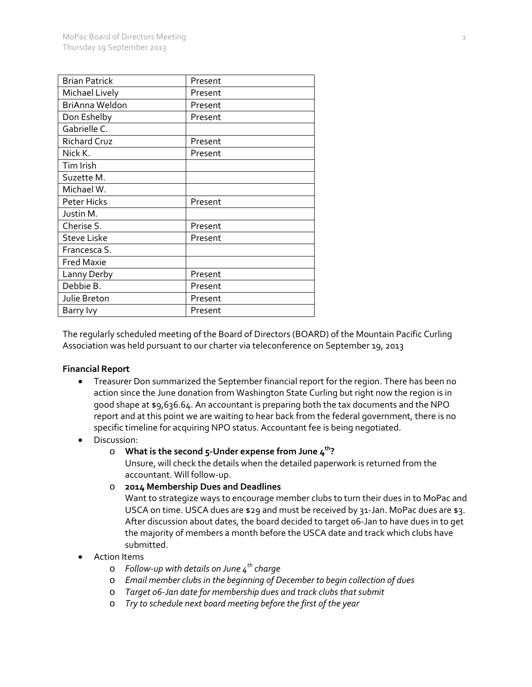| <b>Brian Patrick</b>  | Present |
|-----------------------|---------|
| Michael Lively        | Present |
| <b>BriAnna Weldon</b> | Present |
| Don Eshelby           | Present |
| Gabrielle C.          |         |
| <b>Richard Cruz</b>   | Present |
| Nick K.               | Present |
| Tim Irish             |         |
| Suzette M.            |         |
| Michael W.            |         |
| Peter Hicks           | Present |
| Justin M.             |         |
| Cherise S.            | Present |
| <b>Steve Liske</b>    | Present |
| Francesca S.          |         |
| <b>Fred Maxie</b>     |         |
| Lanny Derby           | Present |
| Debbie B.             | Present |
| Julie Breton          | Present |
| Barry lvy             | Present |

The regularly scheduled meeting of the Board of Directors (BOARD) of the Mountain Pacific Curling Association was held pursuant to our charter via teleconference on September 19, 2013

#### **Financial Report**

- Treasurer Don summarized the September financial report for the region. There has been no action since the June donation from Washington State Curling but right now the region is in good shape at \$9,636.64. An accountant is preparing both the tax documents and the NPO report and at this point we are waiting to hear back from the federal government, there is no specific timeline for acquiring NPO status. Accountant fee is being negotiated.
- Discussion:
	- o **What is the second 5-Under expense from June 4th?**

Unsure, will check the details when the detailed paperwork is returned from the accountant. Will follow-up.

o **2014 Membership Dues and Deadlines**

Want to strategize ways to encourage member clubs to turn their dues in to MoPac and USCA on time. USCA dues are \$29 and must be received by 31-Jan. MoPac dues are \$3. After discussion about dates, the board decided to target 06-Jan to have dues in to get the majority of members a month before the USCA date and track which clubs have submitted.

- Action Items
	- o *Follow-up with details on June 4th charge*
	- o *Email member clubs in the beginning of December to begin collection of dues*
	- o *Target 06-Jan date for membership dues and track clubs that submit*
	- o *Try to schedule next board meeting before the first of the year*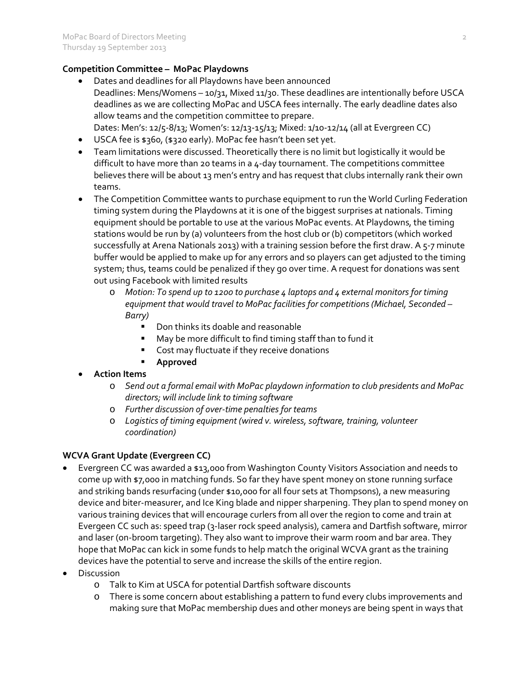### **Competition Committee – MoPac Playdowns**

- Dates and deadlines for all Playdowns have been announced Deadlines: Mens/Womens - 10/31, Mixed 11/30. These deadlines are intentionally before USCA deadlines as we are collecting MoPac and USCA fees internally. The early deadline dates also allow teams and the competition committee to prepare. Dates: Men's: 12/5-8/13; Women's: 12/13-15/13; Mixed: 1/10-12/14 (all at Evergreen CC)
- USCA fee is \$360, (\$320 early). MoPac fee hasn't been set yet.
- Team limitations were discussed. Theoretically there is no limit but logistically it would be difficult to have more than 20 teams in a 4-day tournament. The competitions committee believes there will be about 13 men's entry and has request that clubs internally rank their own teams.
- The Competition Committee wants to purchase equipment to run the World Curling Federation timing system during the Playdowns at it is one of the biggest surprises at nationals. Timing equipment should be portable to use at the various MoPac events. At Playdowns, the timing stations would be run by (a) volunteers from the host club or (b) competitors (which worked successfully at Arena Nationals 2013) with a training session before the first draw. A 5-7 minute buffer would be applied to make up for any errors and so players can get adjusted to the timing system; thus, teams could be penalized if they go over time. A request for donations was sent out using Facebook with limited results
	- o *Motion: To spend up to 1200 to purchase 4 laptops and 4 external monitors for timing equipment that would travel to MoPac facilities for competitions (Michael, Seconded – Barry)*
		- Don thinks its doable and reasonable
		- May be more difficult to find timing staff than to fund it
		- **Cost may fluctuate if they receive donations**
		- **Approved**
- **Action Items**
	- o *Send out a formal email with MoPac playdown information to club presidents and MoPac directors; will include link to timing software*
	- o *Further discussion of over-time penalties for teams*
	- o *Logistics of timing equipment (wired v. wireless, software, training, volunteer coordination)*

## **WCVA Grant Update (Evergreen CC)**

- Evergreen CC was awarded a \$13,000 from Washington County Visitors Association and needs to come up with \$7,000 in matching funds. So far they have spent money on stone running surface and striking bands resurfacing (under \$10,000 for all four sets at Thompsons), a new measuring device and biter-measurer, and Ice King blade and nipper sharpening. They plan to spend money on various training devices that will encourage curlers from all over the region to come and train at Evergeen CC such as: speed trap (3-laser rock speed analysis), camera and Dartfish software, mirror and laser (on-broom targeting). They also want to improve their warm room and bar area. They hope that MoPac can kick in some funds to help match the original WCVA grant as the training devices have the potential to serve and increase the skills of the entire region.
- **Discussion** 
	- o Talk to Kim at USCA for potential Dartfish software discounts
	- o There is some concern about establishing a pattern to fund every clubs improvements and making sure that MoPac membership dues and other moneys are being spent in ways that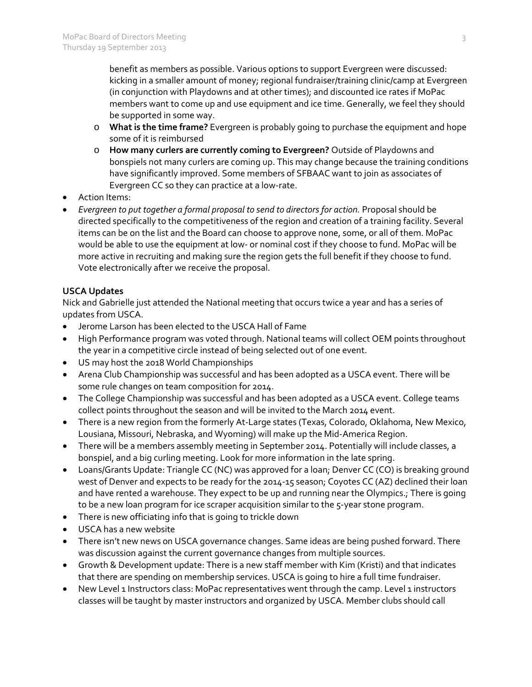benefit as members as possible. Various options to support Evergreen were discussed: kicking in a smaller amount of money; regional fundraiser/training clinic/camp at Evergreen (in conjunction with Playdowns and at other times); and discounted ice rates if MoPac members want to come up and use equipment and ice time. Generally, we feel they should be supported in some way.

- o **What is the time frame?** Evergreen is probably going to purchase the equipment and hope some of it is reimbursed
- o **How many curlers are currently coming to Evergreen?** Outside of Playdowns and bonspiels not many curlers are coming up. This may change because the training conditions have significantly improved. Some members of SFBAAC want to join as associates of Evergreen CC so they can practice at a low-rate.
- Action Items:
- *Evergreen to put together a formal proposal to send to directors for action.* Proposal should be directed specifically to the competitiveness of the region and creation of a training facility. Several items can be on the list and the Board can choose to approve none, some, or all of them. MoPac would be able to use the equipment at low- or nominal cost if they choose to fund. MoPac will be more active in recruiting and making sure the region gets the full benefit if they choose to fund. Vote electronically after we receive the proposal.

## **USCA Updates**

Nick and Gabrielle just attended the National meeting that occurs twice a year and has a series of updates from USCA.

- Jerome Larson has been elected to the USCA Hall of Fame
- High Performance program was voted through. National teams will collect OEM points throughout the year in a competitive circle instead of being selected out of one event.
- US may host the 2018 World Championships
- Arena Club Championship was successful and has been adopted as a USCA event. There will be some rule changes on team composition for 2014.
- The College Championship was successful and has been adopted as a USCA event. College teams collect points throughout the season and will be invited to the March 2014 event.
- There is a new region from the formerly At-Large states (Texas, Colorado, Oklahoma, New Mexico, Lousiana, Missouri, Nebraska, and Wyoming) will make up the Mid-America Region.
- There will be a members assembly meeting in September 2014. Potentially will include classes, a bonspiel, and a big curling meeting. Look for more information in the late spring.
- Loans/Grants Update: Triangle CC (NC) was approved for a loan; Denver CC (CO) is breaking ground west of Denver and expects to be ready for the 2014-15 season; Coyotes CC (AZ) declined their loan and have rented a warehouse. They expect to be up and running near the Olympics.; There is going to be a new loan program for ice scraper acquisition similar to the 5-year stone program.
- There is new officiating info that is going to trickle down
- USCA has a new website
- There isn't new news on USCA governance changes. Same ideas are being pushed forward. There was discussion against the current governance changes from multiple sources.
- Growth & Development update: There is a new staff member with Kim (Kristi) and that indicates that there are spending on membership services. USCA is going to hire a full time fundraiser.
- New Level 1 Instructors class: MoPac representatives went through the camp. Level 1 instructors classes will be taught by master instructors and organized by USCA. Member clubs should call